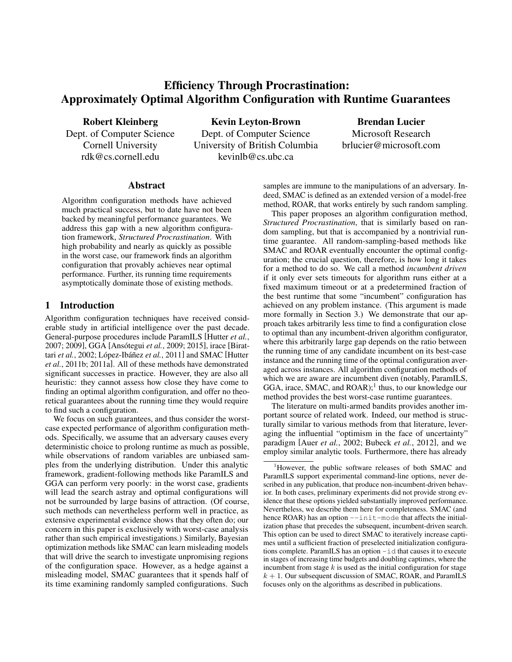# Efficiency Through Procrastination: Approximately Optimal Algorithm Configuration with Runtime Guarantees

Robert Kleinberg

Dept. of Computer Science Cornell University rdk@cs.cornell.edu

Kevin Leyton-Brown Dept. of Computer Science University of British Columbia kevinlb@cs.ubc.ca

Brendan Lucier Microsoft Research brlucier@microsoft.com

#### Abstract

Algorithm configuration methods have achieved much practical success, but to date have not been backed by meaningful performance guarantees. We address this gap with a new algorithm configuration framework, *Structured Procrastination*. With high probability and nearly as quickly as possible in the worst case, our framework finds an algorithm configuration that provably achieves near optimal performance. Further, its running time requirements asymptotically dominate those of existing methods.

#### 1 Introduction

Algorithm configuration techniques have received considerable study in artificial intelligence over the past decade. General-purpose procedures include ParamILS [Hutter *et al.*, 2007; 2009], GGA [Ansótegui *et al.*, 2009; 2015], irace [Birattari *et al.*, 2002; López-Ibáñez et al., 2011] and SMAC [Hutter *et al.*, 2011b; 2011a]. All of these methods have demonstrated significant successes in practice. However, they are also all heuristic: they cannot assess how close they have come to finding an optimal algorithm configuration, and offer no theoretical guarantees about the running time they would require to find such a configuration.

We focus on such guarantees, and thus consider the worstcase expected performance of algorithm configuration methods. Specifically, we assume that an adversary causes every deterministic choice to prolong runtime as much as possible, while observations of random variables are unbiased samples from the underlying distribution. Under this analytic framework, gradient-following methods like ParamILS and GGA can perform very poorly: in the worst case, gradients will lead the search astray and optimal configurations will not be surrounded by large basins of attraction. (Of course, such methods can nevertheless perform well in practice, as extensive experimental evidence shows that they often do; our concern in this paper is exclusively with worst-case analysis rather than such empirical investigations.) Similarly, Bayesian optimization methods like SMAC can learn misleading models that will drive the search to investigate unpromising regions of the configuration space. However, as a hedge against a misleading model, SMAC guarantees that it spends half of its time examining randomly sampled configurations. Such

samples are immune to the manipulations of an adversary. Indeed, SMAC is defined as an extended version of a model-free method, ROAR, that works entirely by such random sampling.

This paper proposes an algorithm configuration method, *Structured Procrastination*, that is similarly based on random sampling, but that is accompanied by a nontrivial runtime guarantee. All random-sampling-based methods like SMAC and ROAR eventually encounter the optimal configuration; the crucial question, therefore, is how long it takes for a method to do so. We call a method *incumbent driven* if it only ever sets timeouts for algorithm runs either at a fixed maximum timeout or at a predetermined fraction of the best runtime that some "incumbent" configuration has achieved on any problem instance. (This argument is made more formally in Section 3.) We demonstrate that our approach takes arbitrarily less time to find a configuration close to optimal than any incumbent-driven algorithm configurator, where this arbitrarily large gap depends on the ratio between the running time of any candidate incumbent on its best-case instance and the running time of the optimal configuration averaged across instances. All algorithm configuration methods of which we are aware are incumbent diven (notably, ParamILS, GGA, irace, SMAC, and ROAR);<sup>1</sup> thus, to our knowledge our method provides the best worst-case runtime guarantees.

The literature on multi-armed bandits provides another important source of related work. Indeed, our method is structurally similar to various methods from that literature, leveraging the influential "optimism in the face of uncertainty" paradigm [Auer *et al.*, 2002; Bubeck *et al.*, 2012], and we employ similar analytic tools. Furthermore, there has already

<sup>&</sup>lt;sup>1</sup>However, the public software releases of both SMAC and ParamILS support experimental command-line options, never described in any publication, that produce non-incumbent-driven behavior. In both cases, preliminary experiments did not provide strong evidence that these options yielded substantially improved performance. Nevertheless, we describe them here for completeness. SMAC (and hence  $ROAR$ ) has an option  $--init$ -mode that affects the initialization phase that precedes the subsequent, incumbent-driven search. This option can be used to direct SMAC to iteratively increase captimes until a sufficient fraction of preselected initialization configurations complete. ParamILS has an option -id that causes it to execute in stages of increasing time budgets and doubling captimes, where the incumbent from stage  $k$  is used as the initial configuration for stage  $k + 1$ . Our subsequent discussion of SMAC, ROAR, and ParamILS focuses only on the algorithms as described in publications.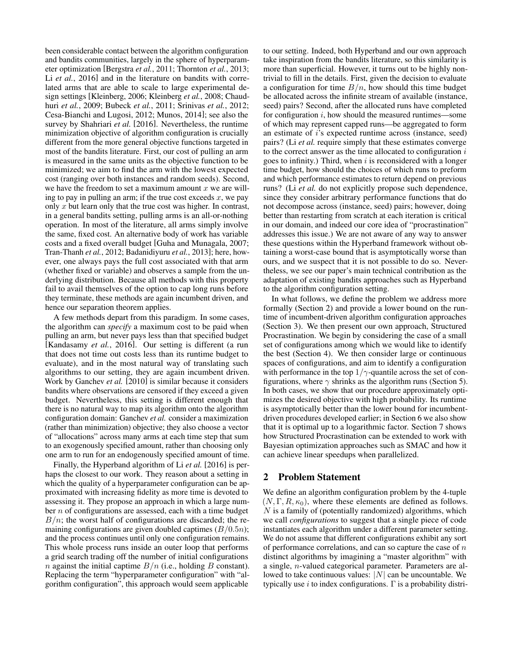been considerable contact between the algorithm configuration and bandits communities, largely in the sphere of hyperparameter optimization [Bergstra *et al.*, 2011; Thornton *et al.*, 2013; Li *et al.*, 2016] and in the literature on bandits with correlated arms that are able to scale to large experimental design settings [Kleinberg, 2006; Kleinberg *et al.*, 2008; Chaudhuri *et al.*, 2009; Bubeck *et al.*, 2011; Srinivas *et al.*, 2012; Cesa-Bianchi and Lugosi, 2012; Munos, 2014]; see also the survey by Shahriari *et al.* [2016]. Nevertheless, the runtime minimization objective of algorithm configuration is crucially different from the more general objective functions targeted in most of the bandits literature. First, our cost of pulling an arm is measured in the same units as the objective function to be minimized; we aim to find the arm with the lowest expected cost (ranging over both instances and random seeds). Second, we have the freedom to set a maximum amount  $x$  we are willing to pay in pulling an arm; if the true cost exceeds  $x$ , we pay only  $x$  but learn only that the true cost was higher. In contrast, in a general bandits setting, pulling arms is an all-or-nothing operation. In most of the literature, all arms simply involve the same, fixed cost. An alternative body of work has variable costs and a fixed overall budget [Guha and Munagala, 2007; Tran-Thanh *et al.*, 2012; Badanidiyuru *et al.*, 2013]; here, however, one always pays the full cost associated with that arm (whether fixed or variable) and observes a sample from the underlying distribution. Because all methods with this property fail to avail themselves of the option to cap long runs before they terminate, these methods are again incumbent driven, and hence our separation theorem applies.

A few methods depart from this paradigm. In some cases, the algorithm can *specify* a maximum cost to be paid when pulling an arm, but never pays less than that specified budget [Kandasamy *et al.*, 2016]. Our setting is different (a run that does not time out costs less than its runtime budget to evaluate), and in the most natural way of translating such algorithms to our setting, they are again incumbent driven. Work by Ganchev *et al.* [2010] is similar because it considers bandits where observations are censored if they exceed a given budget. Nevertheless, this setting is different enough that there is no natural way to map its algorithm onto the algorithm configuration domain: Ganchev *et al.* consider a maximization (rather than minimization) objective; they also choose a vector of "allocations" across many arms at each time step that sum to an exogenously specified amount, rather than choosing only one arm to run for an endogenously specified amount of time.

Finally, the Hyperband algorithm of Li *et al.* [2016] is perhaps the closest to our work. They reason about a setting in which the quality of a hyperparameter configuration can be approximated with increasing fidelity as more time is devoted to assessing it. They propose an approach in which a large number  $n$  of configurations are assessed, each with a time budget  $B/n$ ; the worst half of configurations are discarded; the remaining configurations are given doubled captimes  $(B/0.5n)$ ; and the process continues until only one configuration remains. This whole process runs inside an outer loop that performs a grid search trading off the number of initial configurations *n* against the initial captime  $B/n$  (i.e., holding B constant). Replacing the term "hyperparameter configuration" with "algorithm configuration", this approach would seem applicable

to our setting. Indeed, both Hyperband and our own approach take inspiration from the bandits literature, so this similarity is more than superficial. However, it turns out to be highly nontrivial to fill in the details. First, given the decision to evaluate a configuration for time  $B/n$ , how should this time budget be allocated across the infinite stream of available (instance, seed) pairs? Second, after the allocated runs have completed for configuration  $i$ , how should the measured runtimes—some of which may represent capped runs—be aggregated to form an estimate of i's expected runtime across (instance, seed) pairs? (Li *et al.* require simply that these estimates converge to the correct answer as the time allocated to configuration  $i$ goes to infinity.) Third, when  $i$  is reconsidered with a longer time budget, how should the choices of which runs to preform and which performance estimates to return depend on previous runs? (Li *et al.* do not explicitly propose such dependence, since they consider arbitrary performance functions that do not decompose across (instance, seed) pairs; however, doing better than restarting from scratch at each iteration is critical in our domain, and indeed our core idea of "procrastination" addresses this issue.) We are not aware of any way to answer these questions within the Hyperband framework without obtaining a worst-case bound that is asymptotically worse than ours, and we suspect that it is not possible to do so. Nevertheless, we see our paper's main technical contribution as the adaptation of existing bandits approaches such as Hyperband to the algorithm configuration setting.

In what follows, we define the problem we address more formally (Section 2) and provide a lower bound on the runtime of incumbent-driven algorithm configuration approaches (Section 3). We then present our own approach, Structured Procrastination. We begin by considering the case of a small set of configurations among which we would like to identify the best (Section 4). We then consider large or continuous spaces of configurations, and aim to identify a configuration with performance in the top  $1/\gamma$ -quantile across the set of configurations, where  $\gamma$  shrinks as the algorithm runs (Section 5). In both cases, we show that our procedure approximately optimizes the desired objective with high probability. Its runtime is asymptotically better than the lower bound for incumbentdriven procedures developed earlier; in Section 6 we also show that it is optimal up to a logarithmic factor. Section 7 shows how Structured Procrastination can be extended to work with Bayesian optimization approaches such as SMAC and how it can achieve linear speedups when parallelized.

### 2 Problem Statement

We define an algorithm configuration problem by the 4-tuple  $(N, \Gamma, R, \kappa_0)$ , where these elements are defined as follows.  $N$  is a family of (potentially randomized) algorithms, which we call *configurations* to suggest that a single piece of code instantiates each algorithm under a different parameter setting. We do not assume that different configurations exhibit any sort of performance correlations, and can so capture the case of  $n$ distinct algorithms by imagining a "master algorithm" with a single, n-valued categorical parameter. Parameters are allowed to take continuous values:  $|N|$  can be uncountable. We typically use i to index configurations.  $\Gamma$  is a probability distri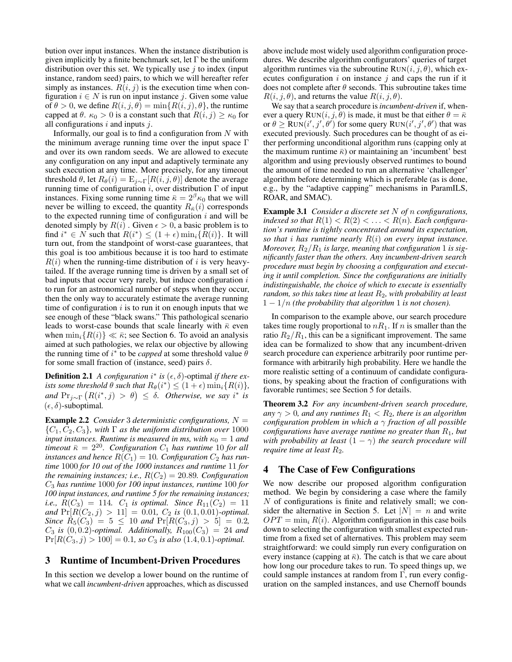bution over input instances. When the instance distribution is given implicitly by a finite benchmark set, let  $\Gamma$  be the uniform distribution over this set. We typically use  $j$  to index (input instance, random seed) pairs, to which we will hereafter refer simply as instances.  $R(i, j)$  is the execution time when configuration  $i \in N$  is run on input instance j. Given some value of  $\theta > 0$ , we define  $R(i, j, \theta) = \min\{R(i, j), \theta\}$ , the runtime capped at  $\theta$ .  $\kappa_0 > 0$  is a constant such that  $R(i, j) \geq \kappa_0$  for all configurations  $i$  and inputs  $j$ .

Informally, our goal is to find a configuration from  $N$  with the minimum average running time over the input space Γ and over its own random seeds. We are allowed to execute any configuration on any input and adaptively terminate any such execution at any time. More precisely, for any timeout threshold  $\theta$ , let  $R_{\theta}(i) = E_{i \sim \Gamma}[R(i, j, \theta)]$  denote the average running time of configuration  $i$ , over distribution  $\Gamma$  of input instances. Fixing some running time  $\bar{\kappa} = 2^{\beta} \kappa_0$  that we will never be willing to exceed, the quantity  $R_{\overline{\kappa}}(i)$  corresponds to the expected running time of configuration  $i$  and will be denoted simply by  $R(i)$ . Given  $\epsilon > 0$ , a basic problem is to find  $i^* \in N$  such that  $R(i^*) \leq (1+\epsilon) \min_i \{\tilde{R}(i)\}\)$ . It will turn out, from the standpoint of worst-case guarantees, that this goal is too ambitious because it is too hard to estimate  $R(i)$  when the running-time distribution of i is very heavytailed. If the average running time is driven by a small set of bad inputs that occur very rarely, but induce configuration  $i$ to run for an astronomical number of steps when they occur, then the only way to accurately estimate the average running time of configuration  $i$  is to run it on enough inputs that we see enough of these "black swans." This pathological scenario leads to worst-case bounds that scale linearly with  $\bar{\kappa}$  even when  $\min_i \{R(i)\} \ll \bar{\kappa}$ ; see Section 6. To avoid an analysis aimed at such pathologies, we relax our objective by allowing the running time of  $i^*$  to be *capped* at some threshold value  $\hat{\theta}$ for some small fraction of (instance, seed) pairs  $\delta$ .

**Definition 2.1** A configuration  $i^*$  is  $(\epsilon, \delta)$ -optimal if there ex*ists some threshold*  $\theta$  *such that*  $R_{\theta}(i^*) \leq (1 + \epsilon) \min_i \{ R(i) \},$  $\mathcal{L}$  and  $\Pr_{j \sim \Gamma} (R(i^*, j) > \theta) \leq \delta$ . *Otherwise*, we say i<sup>\*</sup> is  $(\epsilon, \delta)$ -suboptimal.

Example 2.2 *Consider* 3 *deterministic configurations,* N =  $\{C_1, C_2, C_3\}$ , with  $\Gamma$  *as the uniform distribution over* 1000 *input instances. Runtime is measured in ms, with*  $\kappa_0 = 1$  *and timeout*  $\bar{\kappa} = 2^{20}$ . Configuration  $C_1$  has runtime 10 for all *instances and hence*  $R(C_1) = 10$ *. Configuration*  $C_2$  *has runtime* 1000 *for 10 out of the 1000 instances and runtime* 11 *for the remaining instances; i.e.,*  $R(C_2) = 20.89$ *. Configuration* C<sup>3</sup> *has runtime* 1000 *for 100 input instances, runtime* 100 *for 100 input instances, and runtime 5 for the remaining instances; i.e.,*  $R(C_3) = 114$ *.*  $C_1$  *is optimal. Since*  $R_{11}(C_2) = 11$ *and*  $Pr[R(C_2, j) > 11] = 0.01$ ,  $C_2$  *is* (0.1, 0.01)*-optimal. Since*  $R_5(C_3) = 5 \leq 10$  *and*  $Pr[R(C_3, j) > 5] = 0.2$ *,*  $C_3$  *is*  $(0, 0.2)$ -optimal. Additionally,  $R_{100}(C_3) = 24$  and  $Pr[R(C_3, j) > 100] = 0.1$ , so  $C_3$  is also  $(1.4, 0.1)$ -optimal.

#### 3 Runtime of Incumbent-Driven Procedures

In this section we develop a lower bound on the runtime of what we call *incumbent-driven* approaches, which as discussed above include most widely used algorithm configuration procedures. We describe algorithm configurators' queries of target algorithm runtimes via the subroutine  $\text{Run}(i, j, \theta)$ , which executes configuration  $i$  on instance  $j$  and caps the run if it does not complete after  $\theta$  seconds. This subroutine takes time  $R(i, j, \theta)$ , and returns the value  $R(i, j, \theta)$ .

We say that a search procedure is *incumbent-driven* if, whenever a query  $\text{Run}(i, j, \theta)$  is made, it must be that either  $\theta = \bar{\kappa}$ or  $\theta \ge \text{Run}(i', j', \theta')$  for some query  $\text{Run}(i', j', \theta')$  that was executed previously. Such procedures can be thought of as either performing unconditional algorithm runs (capping only at the maximum runtime  $\bar{\kappa}$ ) or maintaining an 'incumbent' best algorithm and using previously observed runtimes to bound the amount of time needed to run an alternative 'challenger' algorithm before determining which is preferable (as is done, e.g., by the "adaptive capping" mechanisms in ParamILS, ROAR, and SMAC).

Example 3.1 *Consider a discrete set* N *of* n *configurations, indexed so that*  $R(1) < R(2) < \ldots < R(n)$ *. Each configuration's runtime is tightly concentrated around its expectation, so that* i *has runtime nearly* R(i) *on every input instance. Moreover,*  $R_2/R_1$  *is large, meaning that configuration* 1 *is significantly faster than the others. Any incumbent-driven search procedure must begin by choosing a configuration and executing it until completion. Since the configurations are initially indistinguishable, the choice of which to execute is essentially random, so this takes time at least* R2*, with probability at least*  $1 - 1/n$  *(the probability that algorithm* 1 *is not chosen).* 

In comparison to the example above, our search procedure takes time rougly proportional to  $nR_1$ . If n is smaller than the ratio  $R_2/R_1$ , this can be a significant improvement. The same idea can be formalized to show that any incumbent-driven search procedure can experience arbitrarily poor runtime performance with arbitrarily high probability. Here we handle the more realistic setting of a continuum of candidate configurations, by speaking about the fraction of configurations with favorable runtimes; see Section 5 for details.

Theorem 3.2 *For any incumbent-driven search procedure, any*  $\gamma > 0$ *, and any runtimes*  $R_1 < R_2$ *, there is an algorithm configuration problem in which a* γ *fraction of all possible configurations have average runtime no greater than*  $R_1$ *, but with probability at least*  $(1 - \gamma)$  *the search procedure will require time at least*  $R_2$ *.* 

#### 4 The Case of Few Configurations

We now describe our proposed algorithm configuration method. We begin by considering a case where the family  $N$  of configurations is finite and relatively small; we consider the alternative in Section 5. Let  $|N| = n$  and write  $OPT = \min_i R(i)$ . Algorithm configuration in this case boils down to selecting the configuration with smallest expected runtime from a fixed set of alternatives. This problem may seem straightforward: we could simply run every configuration on every instance (capping at  $\bar{\kappa}$ ). The catch is that we care about how long our procedure takes to run. To speed things up, we could sample instances at random from Γ, run every configuration on the sampled instances, and use Chernoff bounds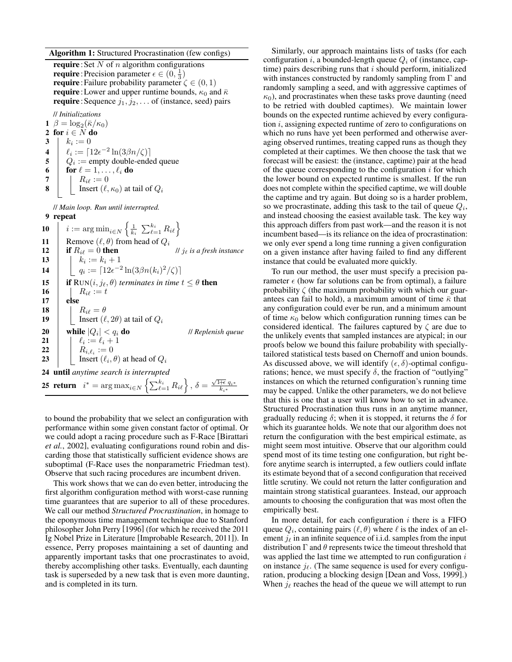Algorithm 1: Structured Procrastination (few configs)

require : Set  $N$  of  $n$  algorithm configurations **require**: Precision parameter  $\epsilon \in (0, \frac{1}{3})$ **require**: Failure probability parameter  $\zeta \in (0, 1)$ **require**: Lower and upper runtime bounds,  $\kappa_0$  and  $\bar{\kappa}$ **require**: Sequence  $j_1, j_2, \ldots$  of (instance, seed) pairs

// *Initializations* 1  $\beta = \log_2(\bar{\kappa}/\kappa_0)$ 2 for  $i \in N$  do  $3 \mid k_i := 0$ 4  $\ell_i := \lceil 12\epsilon^{-2} \ln(3\beta n/\zeta) \rceil$  $5 \mid Q_i := \text{empty double-ended queue}$ 6 for  $\ell = 1, \ldots, \ell_i$  do 7 | |  $R_{i\ell} := 0$ 8 | Insert  $(\ell, \kappa_0)$  at tail of  $Q_i$ // *Main loop. Run until interrupted.* 9 repeat  $\begin{array}{ll} \textbf{10} & i := \mathop{\mathrm{arg\,min}}_{i \in N} \left\{ \frac{1}{k_i}\ \sum_{\ell=1}^{k_i} R_{i\ell} \right\} \end{array}$ 11 Remove  $(\ell, \theta)$  from head of  $Q_i$ **12** if  $R_{i\ell} = 0$  then *// j<sub>e</sub> is a fresh instance* 13  $k_i := k_i + 1$ 

**14**  $q_i := [12e^{-2} \ln(3\beta n(k_i)^2/\zeta)]$ 15 **if**  $\text{RUN}(i, j_\ell, \theta)$  *terminates in time*  $t \leq \theta$  **then** 16 |  $R_{i\ell} := t$ 17 else 18 |  $R_{i\ell} = \theta$ 19 | Insert  $(\ell, 2\theta)$  at tail of  $Q_i$ 20 while  $|Q_i| < q_i$  do | < q<sup>i</sup> do // *Replenish queue* **21**  $\downarrow$   $\ell_i := \ell_i + 1$ 22  $R_{i,\ell_i} := 0$ **23** | Insert  $(\ell_i, \theta)$  at head of  $Q_i$ 24 until *anytime search is interrupted* 25 return  $i^* = \arg \max_{i \in N} \left\{ \sum_{\ell=1}^{k_i} R_{i\ell} \right\}, \delta = \frac{\sqrt{1+\epsilon} q_{i^*}}{k_{i^*}}$ 

to bound the probability that we select an configuration with performance within some given constant factor of optimal. Or we could adopt a racing procedure such as F-Race [Birattari *et al.*, 2002], evaluating configurations round robin and discarding those that statistically sufficient evidence shows are suboptimal (F-Race uses the nonparametric Friedman test). Observe that such racing procedures are incumbent driven.

This work shows that we can do even better, introducing the first algorithm configuration method with worst-case running time guarantees that are superior to all of these procedures. We call our method *Structured Procrastination*, in homage to the eponymous time management technique due to Stanford philosopher John Perry [1996] (for which he received the 2011 Ig Nobel Prize in Literature [Improbable Research, 2011]). In essence, Perry proposes maintaining a set of daunting and apparently important tasks that one procrastinates to avoid, thereby accomplishing other tasks. Eventually, each daunting task is superseded by a new task that is even more daunting, and is completed in its turn.

Similarly, our approach maintains lists of tasks (for each configuration i, a bounded-length queue  $Q_i$  of (instance, captime) pairs describing runs that  $i$  should perform, initialized with instances constructed by randomly sampling from  $\Gamma$  and randomly sampling a seed, and with aggressive captimes of  $\kappa_0$ ), and procrastinates when these tasks prove daunting (need to be retried with doubled captimes). We maintain lower bounds on the expected runtime achieved by every configuration  $i$ , assigning expected runtime of zero to configurations on which no runs have yet been performed and otherwise averaging observed runtimes, treating capped runs as though they completed at their captimes. We then choose the task that we forecast will be easiest: the (instance, captime) pair at the head of the queue corresponding to the configuration  $i$  for which the lower bound on expected runtime is smallest. If the run does not complete within the specified captime, we will double the captime and try again. But doing so is a harder problem, so we procrastinate, adding this task to the tail of queue  $Q_i$ , and instead choosing the easiest available task. The key way this approach differs from past work—and the reason it is not incumbent based—is its reliance on the idea of procrastination: we only ever spend a long time running a given configuration on a given instance after having failed to find any different instance that could be evaluated more quickly.

To run our method, the user must specify a precision parameter  $\epsilon$  (how far solutions can be from optimal), a failure probability  $\zeta$  (the maximum probability with which our guarantees can fail to hold), a maximum amount of time  $\bar{\kappa}$  that any configuration could ever be run, and a minimum amount of time  $\kappa_0$  below which configuration running times can be considered identical. The failures captured by  $\zeta$  are due to the unlikely events that sampled instances are atypical; in our proofs below we bound this failure probability with speciallytailored statistical tests based on Chernoff and union bounds. As discussed above, we will identify  $(\epsilon, \delta)$ -optimal configurations; hence, we must specify  $\delta$ , the fraction of "outlying" instances on which the returned configuration's running time may be capped. Unlike the other parameters, we do not believe that this is one that a user will know how to set in advance. Structured Procrastination thus runs in an anytime manner, gradually reducing  $\delta$ ; when it is stopped, it returns the  $\delta$  for which its guarantee holds. We note that our algorithm does not return the configuration with the best empirical estimate, as might seem most intuitive. Observe that our algorithm could spend most of its time testing one configuration, but right before anytime search is interrupted, a few outliers could inflate its estimate beyond that of a second configuration that received little scrutiny. We could not return the latter configuration and maintain strong statistical guarantees. Instead, our approach amounts to choosing the configuration that was most often the empirically best.

In more detail, for each configuration  $i$  there is a FIFO queue  $Q_i$ , containing pairs  $(\ell, \theta)$  where  $\ell$  is the index of an element  $j_\ell$  in an infinite sequence of i.i.d. samples from the input distribution  $\Gamma$  and  $\theta$  represents twice the timeout threshold that was applied the last time we attempted to run configuration  $i$ on instance  $j_{\ell}$ . (The same sequence is used for every configuration, producing a blocking design [Dean and Voss, 1999].) When  $j_{\ell}$  reaches the head of the queue we will attempt to run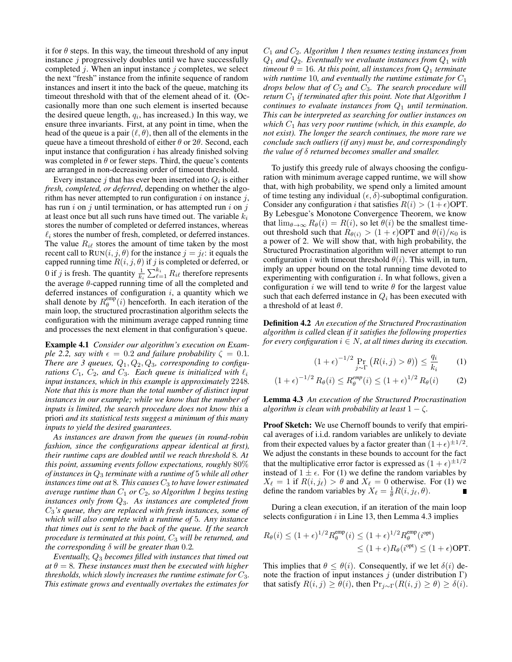it for  $\theta$  steps. In this way, the timeout threshold of any input instance  $j$  progressively doubles until we have successfully completed  $j$ . When an input instance  $j$  completes, we select the next "fresh" instance from the infinite sequence of random instances and insert it into the back of the queue, matching its timeout threshold with that of the element ahead of it. (Occasionally more than one such element is inserted because the desired queue length,  $q_i$ , has increased.) In this way, we ensure three invariants. First, at any point in time, when the head of the queue is a pair  $(\ell, \theta)$ , then all of the elements in the queue have a timeout threshold of either  $\theta$  or  $2\theta$ . Second, each input instance that configuration  $i$  has already finished solving was completed in  $\theta$  or fewer steps. Third, the queue's contents are arranged in non-decreasing order of timeout threshold.

Every instance  $j$  that has ever been inserted into  $Q_i$  is either *fresh, completed, or deferred*, depending on whether the algorithm has never attempted to run configuration  $i$  on instance  $j$ , has run i on j until termination, or has attempted run i on j at least once but all such runs have timed out. The variable  $k_i$ stores the number of completed or deferred instances, whereas  $\ell_i$  stores the number of fresh, completed, or deferred instances. The value  $R_{i\ell}$  stores the amount of time taken by the most recent call to  $\text{Run}(i, j, \theta)$  for the instance  $j = j_{\ell}$ : it equals the capped running time  $R(i, j, \theta)$  if j is completed or deferred, or 0 if *j* is fresh. The quantity  $\frac{1}{k_i} \sum_{\ell=1}^{k_i} R_{i\ell}$  therefore represents the average  $\theta$ -capped running time of all the completed and deferred instances of configuration  $i$ , a quantity which we shall denote by  $R_{\theta}^{\text{emp}}(i)$  henceforth. In each iteration of the main loop, the structured procrastination algorithm selects the configuration with the minimum average capped running time and processes the next element in that configuration's queue.

Example 4.1 *Consider our algorithm's execution on Example 2.2, say with*  $\epsilon = 0.2$  *and failure probability*  $\zeta = 0.1$ *.* There are 3 queues,  $Q_1, Q_2, Q_3$ , corresponding to configu*rations*  $C_1$ ,  $C_2$ , and  $C_3$ . Each queue is initialized with  $\ell_i$ *input instances, which in this example is approximately* 2248*. Note that this is more than the total number of distinct input instances in our example; while we know that the number of inputs is limited, the search procedure does not know this* a priori *and its statistical tests suggest a minimum of this many inputs to yield the desired guarantees.*

*As instances are drawn from the queues (in round-robin fashion, since the configurations appear identical at first), their runtime caps are doubled until we reach threshold* 8*. At this point, assuming events follow expectations, roughly* 80% *of instances in* Q<sup>3</sup> *terminate with a runtime of* 5 *while all other instances time out at 8. This causes*  $C_3$  *to have lower estimated average runtime than*  $C_1$  *or*  $C_2$ *, so Algorithm 1 begins testing instances only from* Q3*. As instances are completed from* C3*'s queue, they are replaced with fresh instances, some of which will also complete with a runtime of* 5*. Any instance that times out is sent to the back of the queue. If the search procedure is terminated at this point,* C<sup>3</sup> *will be returned, and the corresponding* δ *will be greater than* 0.2*.*

*Eventually,* Q<sup>3</sup> *becomes filled with instances that timed out*  $at \theta = 8$ . These instances must then be executed with higher *thresholds, which slowly increases the runtime estimate for*  $C_3$ *. This estimate grows and eventually overtakes the estimates for*

C<sup>1</sup> *and* C2*. Algorithm 1 then resumes testing instances from*  $Q_1$  *and*  $Q_2$ *. Eventually we evaluate instances from*  $Q_1$  *with timeout*  $\theta = 16$ *. At this point, all instances from*  $Q_1$  *terminate with runtime* 10, and eventually the runtime estimate for  $C_1$ *drops below that of*  $C_2$  *and*  $C_3$ *. The search procedure will return*  $C_1$  *if terminated after this point. Note that Algorithm 1 continues to evaluate instances from*  $Q_1$  *until termination. This can be interpreted as searching for outlier instances on which* C<sup>1</sup> *has very poor runtime (which, in this example, do not exist). The longer the search continues, the more rare we conclude such outliers (if any) must be, and correspondingly the value of* δ *returned becomes smaller and smaller.*

To justify this greedy rule of always choosing the configuration with minimum average capped runtime, we will show that, with high probability, we spend only a limited amount of time testing any individual  $(\epsilon, \delta)$ -suboptimal configuration. Consider any configuration i that satisfies  $R(i) > (1 + \epsilon)$ OPT. By Lebesgue's Monotone Convergence Theorem, we know that  $\lim_{\theta \to \infty} R_{\theta}(i) = R(i)$ , so let  $\theta(i)$  be the smallest timeout threshold such that  $R_{\theta(i)} > (1 + \epsilon)$ OPT and  $\theta(i)/\kappa_0$  is a power of 2. We will show that, with high probability, the Structured Procrastination algorithm will never attempt to run configuration *i* with timeout threshold  $\theta(i)$ . This will, in turn, imply an upper bound on the total running time devoted to experimenting with configuration  $i$ . In what follows, given a configuration *i* we will tend to write  $\theta$  for the largest value such that each deferred instance in  $Q_i$  has been executed with a threshold of at least  $\theta$ .

Definition 4.2 *An execution of the Structured Procrastination algorithm is called* clean *if it satisfies the following properties for every configuration*  $i \in N$ , at all times during its execution.

$$
(1+\epsilon)^{-1/2} \Pr_{j \sim \Gamma} \left( R(i,j) > \theta \right) \le \frac{q_i}{k_i} \tag{1}
$$

$$
(1 + \epsilon)^{-1/2} R_{\theta}(i) \le R_{\theta}^{emp}(i) \le (1 + \epsilon)^{1/2} R_{\theta}(i) \tag{2}
$$

Lemma 4.3 *An execution of the Structured Procrastination algorithm is clean with probability at least*  $1 - \zeta$ *.* 

Proof Sketch: We use Chernoff bounds to verify that empirical averages of i.i.d. random variables are unlikely to deviate from their expected values by a factor greater than  $(1+\epsilon)^{\pm 1/2}$ . We adjust the constants in these bounds to account for the fact that the multiplicative error factor is expressed as  $(1 + \epsilon)^{\pm 1/2}$ instead of  $1 \pm \epsilon$ . For (1) we define the random variables by  $X_{\ell} = 1$  if  $R(i, j_{\ell}) > \theta$  and  $X_{\ell} = 0$  otherwise. For (1) we define the random variables by  $X_{\ell} = \frac{1}{\theta} R(i, j_{\ell}, \theta)$ .

During a clean execution, if an iteration of the main loop selects configuration  $i$  in Line 13, then Lemma 4.3 implies

$$
R_{\theta}(i) \le (1+\epsilon)^{1/2} R_{\theta}^{\text{emp}}(i) \le (1+\epsilon)^{1/2} R_{\theta}^{\text{emp}}(i^{\text{opt}})
$$
  

$$
\le (1+\epsilon) R_{\theta}(i^{\text{opt}}) \le (1+\epsilon) \text{OPT}.
$$

This implies that  $\theta \leq \theta(i)$ . Consequently, if we let  $\delta(i)$  denote the fraction of input instances j (under distribution  $\Gamma$ ) that satisfy  $R(i, j) \geq \theta(i)$ , then  $Pr_{i \sim \Gamma}(R(i, j) \geq \theta) \geq \delta(i)$ .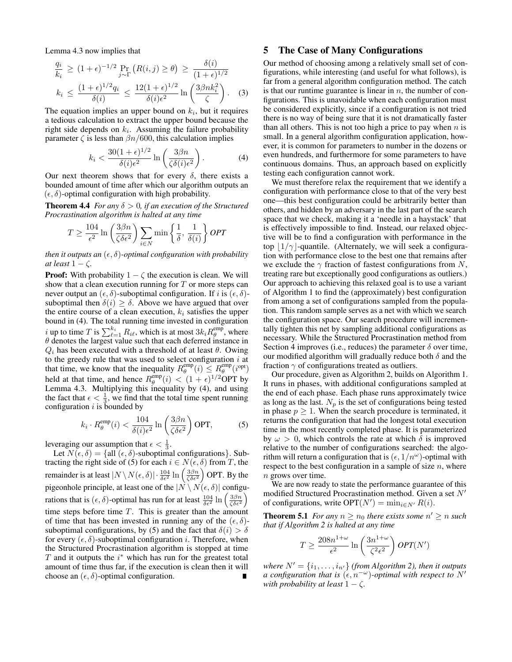Lemma 4.3 now implies that

$$
\frac{q_i}{k_i} \ge (1+\epsilon)^{-1/2} \Pr_{j \sim \Gamma} \left( R(i,j) \ge \theta \right) \ge \frac{\delta(i)}{(1+\epsilon)^{1/2}}
$$
\n
$$
k_i \le \frac{(1+\epsilon)^{1/2} q_i}{\delta(i)} \le \frac{12(1+\epsilon)^{1/2}}{\delta(i)\epsilon^2} \ln \left( \frac{3\beta nk_i^2}{\zeta} \right). \quad (3)
$$

The equation implies an upper bound on  $k_i$ , but it requires a tedious calculation to extract the upper bound because the right side depends on  $k_i$ . Assuming the failure probability parameter  $\zeta$  is less than  $\beta n/600$ , this calculation implies

$$
k_i < \frac{30(1+\epsilon)^{1/2}}{\delta(i)\epsilon^2} \ln\left(\frac{3\beta n}{\zeta\delta(i)\epsilon^2}\right). \tag{4}
$$

Our next theorem shows that for every  $\delta$ , there exists a bounded amount of time after which our algorithm outputs an  $(\epsilon, \delta)$ -optimal configuration with high probability.

**Theorem 4.4** *For any*  $\delta > 0$ *, if an execution of the Structured Procrastination algorithm is halted at any time*

$$
T \ge \frac{104}{\epsilon^2} \ln \left( \frac{3\beta n}{\zeta \delta \epsilon^2} \right) \sum_{i \in N} \min \left\{ \frac{1}{\delta}, \frac{1}{\delta(i)} \right\} OPT
$$

*then it outputs an*  $(\epsilon, \delta)$ -*optimal configuration with probability at least*  $1 - \zeta$ *.* 

**Proof:** With probability  $1 - \zeta$  the execution is clean. We will show that a clean execution running for  $T$  or more steps can never output an  $(\epsilon, \delta)$ -suboptimal configuration. If i is  $(\epsilon, \delta)$ suboptimal then  $\delta(i) \geq \delta$ . Above we have argued that over the entire course of a clean execution,  $k_i$  satisfies the upper bound in (4). The total running time invested in configuration  $i$  up to time  $T$  is  $\sum_{\ell=1}^{k_i} R_{i\ell}$ , which is at most  $3k_i R_\theta^{\rm emp}$ , where  $\theta$  denotes the largest value such that each deferred instance in  $Q_i$  has been executed with a threshold of at least  $\theta$ . Owing to the greedy rule that was used to select configuration  $i$  at that time, we know that the inequality  $R_{\theta}^{\text{emp}}(i) \leq R_{\theta}^{\text{emp}}(i^{\text{opt}})$ held at that time, and hence  $R_{\theta}^{\text{emp}}(i) < (1 + \epsilon)^{1/2} \text{OPT}$  by Lemma 4.3. Multiplying this inequality by (4), and using the fact that  $\epsilon < \frac{1}{3}$ , we find that the total time spent running configuration  $i$  is bounded by

$$
k_i \cdot R_\theta^{\text{emp}}(i) < \frac{104}{\delta(i)\epsilon^2} \ln\left(\frac{3\beta n}{\zeta \delta \epsilon^2}\right) \text{OPT},\tag{5}
$$

leveraging our assumption that  $\epsilon < \frac{1}{3}$ .

Let  $N(\epsilon, \delta) = \{ \text{all } (\epsilon, \delta) \text{-suboptimal configurations} \}.$  Subtracting the right side of (5) for each  $i \in N(\epsilon, \delta)$  from T, the remainder is at least  $|N \setminus N(\epsilon, \delta)| \cdot \frac{104}{\delta \epsilon^2} \ln \left( \frac{3\beta n}{\zeta \delta \epsilon^2} \right)$  OPT. By the pigeonhole principle, at least one of the  $|N \setminus N(\epsilon, \delta)|$  configurations that is  $(\epsilon, \delta)$ -optimal has run for at least  $\frac{104}{\delta \epsilon^2} \ln \left( \frac{3\beta n}{\zeta \delta \epsilon^2} \right)$ time steps before time  $T$ . This is greater than the amount of time that has been invested in running any of the  $(\epsilon, \delta)$ suboptimal configurations, by (5) and the fact that  $\delta(i) > \delta$ for every  $(\epsilon, \delta)$ -suboptimal configuration *i*. Therefore, when the Structured Procrastination algorithm is stopped at time  $T$  and it outputs the  $i^*$  which has run for the greatest total amount of time thus far, if the execution is clean then it will choose an  $(\epsilon, \delta)$ -optimal configuration.

#### 5 The Case of Many Configurations

Our method of choosing among a relatively small set of configurations, while interesting (and useful for what follows), is far from a general algorithm configuration method. The catch is that our runtime guarantee is linear in  $n$ , the number of configurations. This is unavoidable when each configuration must be considered explicitly, since if a configuration is not tried there is no way of being sure that it is not dramatically faster than all others. This is not too high a price to pay when  $n$  is small. In a general algorithm configuration application, however, it is common for parameters to number in the dozens or even hundreds, and furthermore for some parameters to have continuous domains. Thus, an approach based on explicitly testing each configuration cannot work.

We must therefore relax the requirement that we identify a configuration with performance close to that of the very best one—this best configuration could be arbitrarily better than others, and hidden by an adversary in the last part of the search space that we check, making it a 'needle in a haystack' that is effectively impossible to find. Instead, our relaxed objective will be to find a configuration with performance in the top  $|1/\gamma|$ -quantile. (Alternately, we will seek a configuration with performance close to the best one that remains after we exclude the  $\gamma$  fraction of fastest configurations from N, treating rare but exceptionally good configurations as outliers.) Our approach to achieving this relaxed goal is to use a variant of Algorithm 1 to find the (approximately) best configuration from among a set of configurations sampled from the population. This random sample serves as a net with which we search the configuration space. Our search procedure will incrementally tighten this net by sampling additional configurations as necessary. While the Structured Procrastination method from Section 4 improves (i.e., reduces) the parameter  $\delta$  over time, our modified algorithm will gradually reduce both  $\delta$  and the fraction  $\gamma$  of configurations treated as outliers.

Our procedure, given as Algorithm 2, builds on Algorithm 1. It runs in phases, with additional configurations sampled at the end of each phase. Each phase runs approximately twice as long as the last.  $N_p$  is the set of configurations being tested in phase  $p \geq 1$ . When the search procedure is terminated, it returns the configuration that had the longest total execution time in the most recently completed phase. It is parameterized by  $\omega > 0$ , which controls the rate at which  $\delta$  is improved relative to the number of configurations searched: the algorithm will return a configuration that is  $(\epsilon, 1/n^{\omega})$ -optimal with respect to the best configuration in a sample of size  $n$ , where n grows over time.

We are now ready to state the performance guarantee of this modified Structured Procrastination method. Given a set  $N'$ of configurations, write  $\text{OPT}(N') = \min_{i \in N'} R(i)$ .

**Theorem 5.1** For any  $n \geq n_0$  there exists some  $n' \geq n$  such *that if Algorithm 2 is halted at any time*

$$
T \ge \frac{208n^{1+\omega}}{\epsilon^2} \ln\left(\frac{3n^{1+\omega}}{\zeta^2 \epsilon^2}\right) OPT(N')
$$

*where*  $N' = \{i_1, \ldots, i_{n'}\}$  *(from Algorithm 2), then it outputs a configuration that is*  $(\epsilon, n^{-\omega})$ -optimal with respect to N' *with probability at least*  $1 - \zeta$ *.*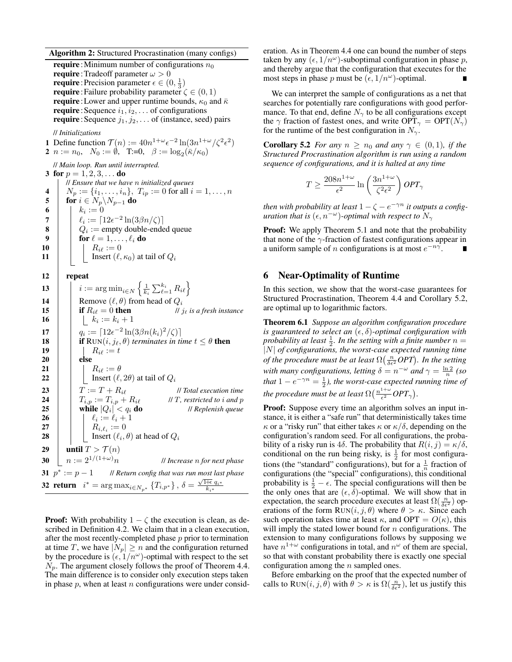Algorithm 2: Structured Procrastination (many configs)

**require**: Minimum number of configurations  $n_0$ **require**: Tradeoff parameter  $\omega > 0$ **require**: Precision parameter  $\epsilon \in (0, \frac{1}{3})$ **require**: Failure probability parameter  $\zeta \in (0, 1)$ **require**: Lower and upper runtime bounds,  $\kappa_0$  and  $\bar{\kappa}$ **require**: Sequence  $i_1, i_2, \ldots$  of configurations **require**: Sequence  $j_1, j_2, \ldots$  of (instance, seed) pairs // *Initializations* **1** Define function  $\mathcal{T}(n) := 40n^{1+\omega} \epsilon^{-2} \ln(3n^{1+\omega}/\zeta^2 \epsilon^2)$ 2  $n := n_0, \ N_0 := \emptyset, \ T:=0, \ \beta := \log_2(\bar{\kappa}/\kappa_0)$ // *Main loop. Run until interrupted.* 3 for  $p = 1, 2, 3, \ldots$  do // *Ensure that we have* n *initialized queues* 4  $N_p := \{i_1, \ldots, i_n\}, T_{ip} := 0$  for all  $i = 1, \ldots, n$ 5 **for**  $i \in N_p \backslash N_{p-1}$  do 6 |  $k_i := 0$ 7  $\left| \quad \right|$   $\ell_i := \lceil 12\epsilon^{-2} \ln(3\beta n/\zeta) \rceil$ 8  $\begin{array}{|c|c|c|} \hline \textbf{8} & \textbf{0} & \textbf{0} \\ \hline \end{array}$  Q<sub>i</sub> := empty double-ended queue 9 for  $\ell = 1, \ldots, \ell_i$  do<br>  $\begin{array}{|c|c|c|c|} \hline 9 & \ldots & \ell_i \text{ do} \ \hline & B_{i\ell} := 0 \end{array}$  $R_{i\ell} := 0$ 11 | Insert  $(\ell, \kappa_0)$  at tail of  $Q_i$ 12 repeat

 $\begin{array}{|c|c|} \hline \textbf{13} & \begin{array}{|c|c|} \hline \end{array} & i := \arg \min_{i \in N} \left\{ \frac{1}{k_i} \sum_{\ell=1}^{k_i} R_{i\ell} \right\} \hline \end{array}$ 14 Remove  $(\ell, \theta)$  from head of  $Q_i$ <br>15 **if**  $R_{i\ell} = 0$  **then 15 if**  $R_{i\ell} = 0$  **then** *// j<sub>e</sub> is a fresh instance* 16 | |  $k_i := k_i + 1$ 17  $\Big| \Big|_{q_i} := \big[ 12\epsilon^{-2} \ln(3\beta n(k_i)^2/\zeta) \big]$ **18 if**  $\text{RUN}(i, j_\ell, \theta)$  *terminates in time*  $t \leq \theta$  **then** 19 | |  $R_{i\ell} := t$  $20$  else 21 | |  $R_{i\ell} := \theta$ **22** | | Insert  $(\ell, 2\theta)$  at tail of  $Q_i$ 23  $\boxed{1}$   $T := T + R_i \ell$  // *Total execution time* 24  $T_{i,p} := T_{i,p} + R_{i\ell}$  // T, restricted to *i* and p<br>25 while  $|O_i| < a_i$  do // Replenish queue  $\label{eq:1} \begin{array}{l} T_{i,p} := T_{i,p} + R_{i\ell} \\ \text{while} \ |Q_i| < q_i \ \text{do} \end{array}$ | < q<sup>i</sup> do // *Replenish queue* **26**  $\vert \cdot \vert \cdot \vert \cdot \ell_i := \ell_i + 1$ 27 | |  $R_{i,\ell_i} := 0$ **28** | | Insert  $(\ell_i, \theta)$  at head of  $Q_i$ 29 | until  $T > \mathcal{T}(n)$ 30  $n := 2^{1/(1+\omega)}n$  // *Increase n for next phase* 31  $p^* := p - 1$  // *Return config that was run most last phase* 32 return  $i^* = \arg \max_{i \in N_{p^*}} \{T_{i,p^*}\}, \delta = \frac{\sqrt{1+\epsilon} \, q_{i^*}}{k_{i^*}}$ 

**Proof:** With probability  $1 - \zeta$  the execution is clean, as described in Definition 4.2. We claim that in a clean execution, after the most recently-completed phase  $p$  prior to termination at time T, we have  $|N_p| \ge n$  and the configuration returned by the procedure is  $(\epsilon, 1/n^{\omega})$ -optimal with respect to the set  $N_p$ . The argument closely follows the proof of Theorem 4.4. The main difference is to consider only execution steps taken in phase  $p$ , when at least  $n$  configurations were under consideration. As in Theorem 4.4 one can bound the number of steps taken by any  $(\epsilon, 1/n^{\omega})$ -suboptimal configuration in phase p, and thereby argue that the configuration that executes for the most steps in phase p must be  $(\epsilon, 1/n^{\omega})$ -optimal.

We can interpret the sample of configurations as a net that searches for potentially rare configurations with good performance. To that end, define  $N_{\gamma}$  to be all configurations except the  $\gamma$  fraction of fastest ones, and write  $\text{OPT}_{\gamma} = \text{OPT}(N_{\gamma})$ for the runtime of the best configuration in  $N_{\gamma}$ .

**Corollary 5.2** *For any*  $n \geq n_0$  *and any*  $\gamma \in (0,1)$ *, if the Structured Procrastination algorithm is run using a random sequence of configurations, and it is halted at any time*

$$
T \ge \frac{208 n^{1+\omega}}{\epsilon^2} \ln \left( \frac{3n^{1+\omega}}{\zeta^2 \epsilon^2} \right) OPT_\gamma
$$

*then with probability at least*  $1 - \zeta - e^{-\gamma n}$  *it outputs a configuration that is*  $(\epsilon, n^{-\omega})$ -*optimal with respect to*  $N_{\gamma}$ 

Proof: We apply Theorem 5.1 and note that the probability that none of the  $\gamma$ -fraction of fastest configurations appear in a uniform sample of *n* configurations is at most  $e^{-n\gamma}$ .

#### 6 Near-Optimality of Runtime

In this section, we show that the worst-case guarantees for Structured Procrastination, Theorem 4.4 and Corollary 5.2, are optimal up to logarithmic factors.

Theorem 6.1 *Suppose an algorithm configuration procedure is guaranteed to select an*  $(\epsilon, \delta)$ -*optimal configuration with* probability at least  $\frac{1}{2}$ *. In the setting with a finite number*  $n =$ |N| *of configurations, the worst-case expected running time of the procedure must be at least*  $\Omega\left(\frac{n}{\delta \epsilon^2} OPT\right)$ *. In the setting with many configurations, letting*  $\delta = n^{-\omega}$  *and*  $\gamma = \frac{\ln 2}{n}$  (so *that*  $1 - e^{-\gamma n} = \frac{1}{2}$ *), the worst-case expected running time of* the procedure must be at least  $\Omega(\frac{n^{1+\omega}}{\epsilon^2})$  $\frac{1+\omega}{\epsilon^2}OPT_{\gamma}$ ).

Proof: Suppose every time an algorithm solves an input instance, it is either a "safe run" that deterministically takes time  $\kappa$  or a "risky run" that either takes  $\kappa$  or  $\kappa/\delta$ , depending on the configuration's random seed. For all configurations, the probability of a risky run is 4 $\delta$ . The probability that  $R(i, j) = \kappa/\delta$ , conditional on the run being risky, is  $\frac{1}{2}$  for most configurations (the "standard" configurations), but for a  $\frac{1}{n}$  fraction of configurations (the "special" configurations), this conditional probability is  $\frac{1}{2} - \epsilon$ . The special configurations will then be the only ones that are  $(\epsilon, \delta)$ -optimal. We will show that in expectation, the search procedure executes at least  $\Omega(\frac{n}{\delta\epsilon^2})$  operations of the form  $\text{RUN}(i, j, \theta)$  where  $\theta > \kappa$ . Since each such operation takes time at least  $\kappa$ , and OPT =  $O(\kappa)$ , this will imply the stated lower bound for  $n$  configurations. The extension to many configurations follows by supposing we have  $n^{1+\omega}$  configurations in total, and  $n^{\omega}$  of them are special, so that with constant probability there is exactly one special configuration among the  $n$  sampled ones.

Before embarking on the proof that the expected number of calls to RUN $(i, j, \theta)$  with  $\theta > \kappa$  is  $\Omega(\frac{n}{\delta \epsilon^2})$ , let us justify this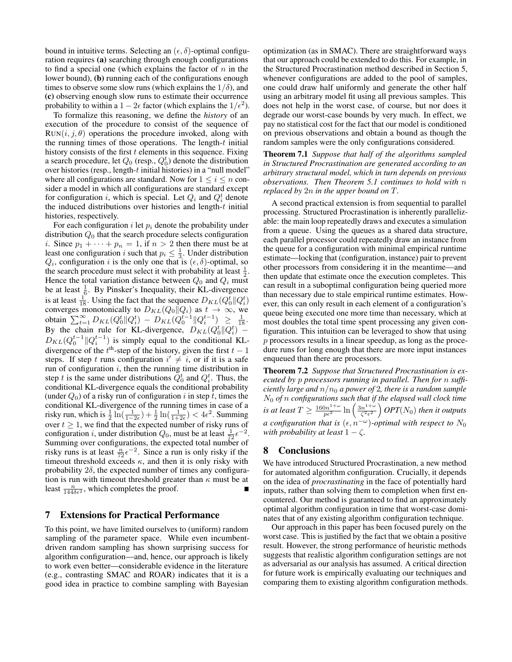bound in intuitive terms. Selecting an  $(\epsilon, \delta)$ -optimal configuration requires (a) searching through enough configurations to find a special one (which explains the factor of  $n$  in the lower bound), (b) running each of the configurations enough times to observe some slow runs (which explains the  $1/\delta$ ), and (c) observing enough slow runs to estimate their occurrence probability to within a  $1 - 2\epsilon$  factor (which explains the  $1/\epsilon^2$ ).

To formalize this reasoning, we define the *history* of an execution of the procedure to consist of the sequence of  $Run(i, j, \theta)$  operations the procedure invoked, along with the running times of those operations. The length- $t$  initial history consists of the first  $t$  elements in this sequence. Fixing a search procedure, let  $Q_0$  (resp.,  $Q_0^t$ ) denote the distribution over histories (resp., length- $t$  initial histories) in a "null model" where all configurations are standard. Now for  $1 \le i \le n$  consider a model in which all configurations are standard except for configuration i, which is special. Let  $Q_i$  and  $Q_i^t$  denote the induced distributions over histories and length- $t$  initial histories, respectively.

For each configuration i let  $p_i$  denote the probability under distribution  $Q_0$  that the search procedure selects configuration *i*. Since  $p_1 + \cdots + p_n = 1$ , if  $n > 2$  then there must be at least one configuration *i* such that  $p_i \leq \frac{1}{3}$ . Under distribution  $Q_i$ , configuration i is the only one that is  $(\epsilon, \delta)$ -optimal, so the search procedure must select it with probability at least  $\frac{1}{2}$ . Hence the total variation distance between  $Q_0$  and  $Q_i$  must be at least  $\frac{1}{6}$ . By Pinsker's Inequality, their KL-divergence is at least  $\frac{1}{18}$ . Using the fact that the sequence  $D_{KL}(Q_0^t || Q_i^t)$ converges monotonically to  $D_{KL}(Q_0||Q_i)$  as  $t \to \infty$ , we obtain  $\sum_{t=1}^{\infty} D_{KL}(Q_0^t || Q_i^t) - D_{KL}(Q_0^{t-1} || Q_i^{t-1}) \ge \frac{1}{18}$ . By the chain rule for KL-divergence,  $D_{KL}(Q_0^t||Q_i^t)$  –  $D_{KL}(Q_0^{t-1} || Q_i^{t-1})$  is simply equal to the conditional KLdivergence of the  $t^{\text{th}}$ -step of the history, given the first  $t - 1$ steps. If step t runs configuration  $i' \neq i$ , or if it is a safe run of configuration  $i$ , then the running time distribution in step t is the same under distributions  $\tilde{Q}_0^t$  and  $Q_i^t$ . Thus, the conditional KL-divergence equals the conditional probability (under  $Q_0$ ) of a risky run of configuration i in step t, times the conditional KL-divergence of the running times in case of a risky run, which is  $\frac{1}{2} \ln(\frac{1}{1-2\epsilon}) + \frac{1}{2} \ln(\frac{1}{1+2\epsilon}) < 4\epsilon^2$ . Summing over  $t \geq 1$ , we find that the expected number of risky runs of configuration i, under distribution  $Q_0$ , must be at least  $\frac{1}{72}e^{-2}$ . Summing over configurations, the expected total number of risky runs is at least  $\frac{n}{72} \epsilon^{-2}$ . Since a run is only risky if the timeout threshold exceeds  $\kappa$ , and then it is only risky with probability  $2\delta$ , the expected number of times any configuration is run with timeout threshold greater than  $\kappa$  must be at least  $\frac{n}{144\delta\epsilon^2}$ , which completes the proof.

# 7 Extensions for Practical Performance

To this point, we have limited ourselves to (uniform) random sampling of the parameter space. While even incumbentdriven random sampling has shown surprising success for algorithm configuration—and, hence, our approach is likely to work even better—considerable evidence in the literature (e.g., contrasting SMAC and ROAR) indicates that it is a good idea in practice to combine sampling with Bayesian

optimization (as in SMAC). There are straightforward ways that our approach could be extended to do this. For example, in the Structured Procrastination method described in Section 5, whenever configurations are added to the pool of samples, one could draw half uniformly and generate the other half using an arbitrary model fit using all previous samples. This does not help in the worst case, of course, but nor does it degrade our worst-case bounds by very much. In effect, we pay no statistical cost for the fact that our model is conditioned on previous observations and obtain a bound as though the random samples were the only configurations considered.

Theorem 7.1 *Suppose that half of the algorithms sampled in Structured Procrastination are generated according to an arbitrary structural model, which in turn depends on previous observations. Then Theorem 5.1 continues to hold with* n *replaced by* 2n *in the upper bound on* T*.*

A second practical extension is from sequential to parallel processing. Structured Procrastination is inherently parallelizable: the main loop repeatedly draws and executes a simulation from a queue. Using the queues as a shared data structure, each parallel processor could repeatedly draw an instance from the queue for a configuration with minimal empirical runtime estimate—locking that (configuration, instance) pair to prevent other processors from considering it in the meantime—and then update that estimate once the execution completes. This can result in a suboptimal configuration being queried more than necessary due to stale empirical runtime estimates. However, this can only result in each element of a configuration's queue being executed one more time than necessary, which at most doubles the total time spent processing any given configuration. This intuition can be leveraged to show that using p processors results in a linear speedup, as long as the procedure runs for long enough that there are more input instances enqueued than there are processors.

Theorem 7.2 *Suppose that Structured Procrastination is executed by* p *processors running in parallel. Then for* n *sufficiently large and*  $n/n_0$  *a power of* 2*, there is a random sample* N<sup>0</sup> *of* n *configurations such that if the elapsed wall clock time is at least*  $T \ge \frac{160n^{1+\omega}}{p\epsilon^2} \ln \left( \frac{3n^{1+\omega}}{\zeta^2 \epsilon^2} \right)$  $\left(\frac{n^{1+\omega}}{\zeta^2\epsilon^2}\right) OPT(N_0)$  then it outputs *a configuration that is*  $(\epsilon, n^{-\omega})$ -optimal with respect to  $N_0$ *with probability at least*  $1 - \zeta$ *.* 

# 8 Conclusions

We have introduced Structured Procrastination, a new method for automated algorithm configuration. Crucially, it depends on the idea of *procrastinating* in the face of potentially hard inputs, rather than solving them to completion when first encountered. Our method is guaranteed to find an approximately optimal algorithm configuration in time that worst-case dominates that of any existing algorithm configuration technique.

Our approach in this paper has been focused purely on the worst case. This is justified by the fact that we obtain a positive result. However, the strong performance of heuristic methods suggests that realistic algorithm configuration settings are not as adversarial as our analysis has assumed. A critical direction for future work is empirically evaluating our techniques and comparing them to existing algorithm configuration methods.